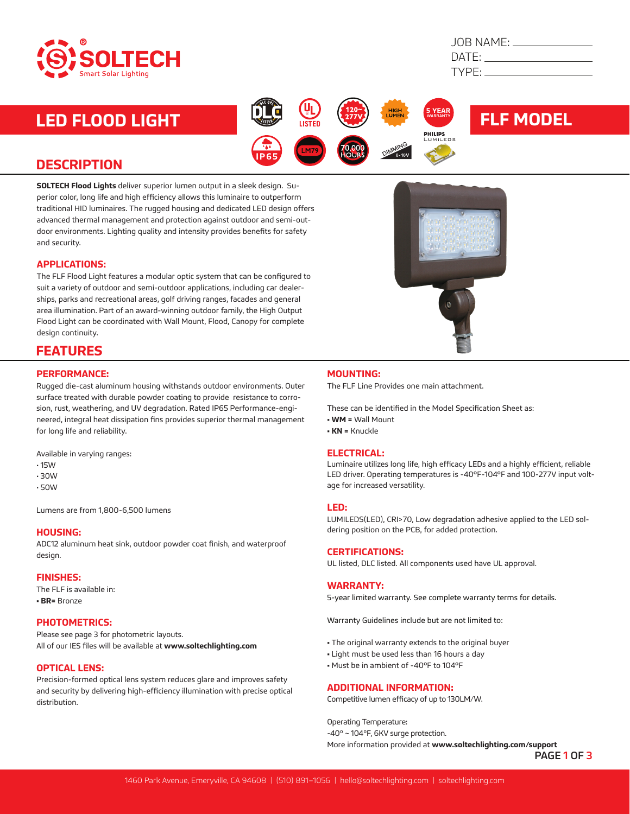

| JOB NAME: _ |  |
|-------------|--|
| DATE:       |  |
| TYPF:       |  |
|             |  |

## **LED FLOOD LIGHT EXAMPLE AND RELEVANCE CONTROLLER FLF MODEL**

## **DESCRIPTION**

**SOLTECH Flood Lights** deliver superior lumen output in a sleek design. Superior color, long life and high efficiency allows this luminaire to outperform traditional HID luminaires. The rugged housing and dedicated LED design offers advanced thermal management and protection against outdoor and semi-outdoor environments. Lighting quality and intensity provides benefits for safety and security.

#### **APPLICATIONS:**

The FLF Flood Light features a modular optic system that can be configured to suit a variety of outdoor and semi-outdoor applications, including car dealerships, parks and recreational areas, golf driving ranges, facades and general area illumination. Part of an award-winning outdoor family, the High Output Flood Light can be coordinated with Wall Mount, Flood, Canopy for complete design continuity.

### **FEATURES**

#### **PERFORMANCE:**

Rugged die-cast aluminum housing withstands outdoor environments. Outer surface treated with durable powder coating to provide resistance to corrosion, rust, weathering, and UV degradation. Rated IP65 Performance-engineered, integral heat dissipation fins provides superior thermal management for long life and reliability.

Available in varying ranges:

- 15W
- 30W
- 50W

Lumens are from 1,800-6,500 lumens

#### **HOUSING:**

ADC12 aluminum heat sink, outdoor powder coat finish, and waterproof design.

#### **FINISHES:**

The FLF is available in: **• BR=** Bronze

#### **PHOTOMETRICS:**

Please see page 3 for photometric layouts. All of our IES files will be available at **www.soltechlighting.com**

#### **OPTICAL LENS:**

Precision-formed optical lens system reduces glare and improves safety and security by delivering high-efficiency illumination with precise optical distribution.

#### **MOUNTING:**

The FLF Line Provides one main attachment.

These can be identified in the Model Specification Sheet as:

**5**

- **WM =** Wall Mount
- **KN =** Knuckle

#### **ELECTRICAL:**

Luminaire utilizes long life, high efficacy LEDs and a highly efficient, reliable LED driver. Operating temperatures is -40°F-104°F and 100-277V input voltage for increased versatility.

#### **LED:**

LUMILEDS(LED), CRI>70, Low degradation adhesive applied to the LED soldering position on the PCB, for added protection.

#### **CERTIFICATIONS:**

UL listed, DLC listed. All components used have UL approval.

#### **WARRANTY:**

5-year limited warranty. See complete warranty terms for details.

Warranty Guidelines include but are not limited to:

- The original warranty extends to the original buyer
- Light must be used less than 16 hours a day
- Must be in ambient of -40°F to 104°F

#### **ADDITIONAL INFORMATION:**

Competitive lumen efficacy of up to 130LM/W.

Operating Temperature: -40º ~ 104ºF, 6KV surge protection.

More information provided at **www.soltechlighting.com/support**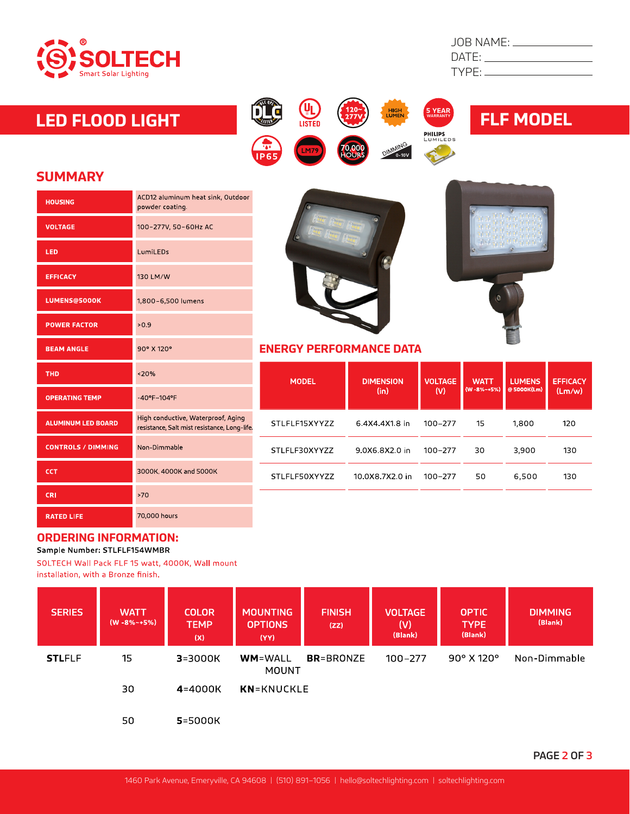

| DATE:  |  |
|--------|--|
| TYPE:. |  |

# **LED FLOOD LIGHT FLF MODEL**









### **SUMMARY**

| ACD12 aluminum heat sink, Outdoor<br>powder coating.                               |  |
|------------------------------------------------------------------------------------|--|
| 100-277V, 50-60Hz AC                                                               |  |
| LumiLEDs                                                                           |  |
| 130 LM/W                                                                           |  |
| 1,800-6,500 lumens                                                                 |  |
| >0.9                                                                               |  |
| 90° X 120°                                                                         |  |
| < 20%                                                                              |  |
| -40°F-104°F                                                                        |  |
| High conductive, Waterproof, Aging<br>resistance, Salt mist resistance, Long-life. |  |
| Non-Dimmable                                                                       |  |
| 3000K, 4000K and 5000K                                                             |  |
| >70                                                                                |  |
| 70,000 hours                                                                       |  |
|                                                                                    |  |





#### **ENERGY PERFORMANCE DATA**

| <b>MODEL</b>  | <b>DIMENSION</b><br>(in) | <b>VOLTAGE</b><br>(V) | <b>WATT</b><br>$(W - 8\% - +5\%)$ | <b>LUMENS</b><br>@ 5000K(Lm) | <b>EFFICACY</b><br>(Lm/w) |
|---------------|--------------------------|-----------------------|-----------------------------------|------------------------------|---------------------------|
| STLFLF15XYYZZ | 6.4X4.4X1.8 in           | 100-277               | 15                                | 1.800                        | 120                       |
| STLFLF30XYYZZ | 9 0 X 6 8 X 2 0 in       | 100-277               | 30                                | 3,900                        | 130                       |
| STLFLF50XYYZZ | 10.0X8.7X2.0 in          | $100 - 277$           | 50                                | 6,500                        | 130                       |
|               |                          |                       |                                   |                              |                           |

## **ORDERING INFORMATION:**<br>Sample Number: STLFLF154WMBR

SOLTECH Wall Pack FLF 15 watt, 4000K, Wall mount installation, with a Bronze finish.

| <b>SERIES</b> | <b>WATT</b><br>$(W - 8\% - 5\%)$ | <b>COLOR</b><br><b>TEMP</b><br>(X) | <b>MOUNTING</b><br><b>OPTIONS</b><br>(YY) | <b>FINISH</b><br>(ZZ) | <b>VOLTAGE</b><br>(V)<br>(Blank) | <b>OPTIC</b><br><b>TYPE</b><br>(Blank) | <b>DIMMING</b><br>(Blank) |
|---------------|----------------------------------|------------------------------------|-------------------------------------------|-----------------------|----------------------------------|----------------------------------------|---------------------------|
| <b>STLFLF</b> | 15                               | $3 = 3000K$                        | <b>WM=WALL</b><br>MOUNT                   | <b>BR</b> =BRONZE     | 100-277                          | $90^\circ$ X 120 $^\circ$              | Non-Dimmable              |
|               | 30                               | $4 = 4000K$                        | <b>KN</b> =KNUCKLE                        |                       |                                  |                                        |                           |
|               | 50                               | <b>5</b> =5000K                    |                                           |                       |                                  |                                        |                           |